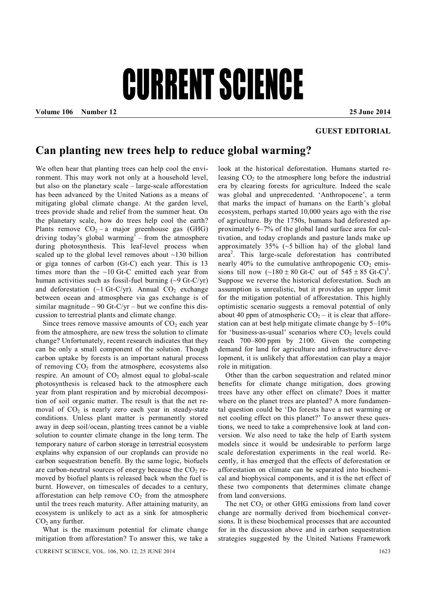## CURRENT SCIENCE

**Volume 106 Number 12 25 June 2014**

## **GUEST EDITORIAL**

## **Can planting new trees help to reduce global warming?**

We often hear that planting trees can help cool the environment. This may work not only at a household level, but also on the planetary scale – large-scale afforestation has been advanced by the United Nations as a means of mitigating global climate change. At the garden level, trees provide shade and relief from the summer heat. On the planetary scale, how do trees help cool the earth? Plants remove  $CO<sub>2</sub> - a$  major greenhouse gas (GHG) driving today's global warming<sup>1</sup> – from the atmosphere during photosynthesis. This leaf-level process when scaled up to the global level removes about ~130 billion or giga tonnes of carbon (Gt-C) each year. This is 13 times more than the  $\sim$ 10 Gt-C emitted each year from human activities such as fossil-fuel burning  $(\sim 9 \text{ Gt-C/yr})$ and deforestation ( $\sim$ 1 Gt-C/yr). Annual CO<sub>2</sub> exchange between ocean and atmosphere via gas exchange is of similar magnitude – 90 Gt-C/yr – but we confine this discussion to terrestrial plants and climate change.

Since trees remove massive amounts of  $CO<sub>2</sub>$  each year from the atmosphere, are new tress the solution to climate change? Unfortunately, recent research indicates that they can be only a small component of the solution. Though carbon uptake by forests is an important natural process of removing  $CO<sub>2</sub>$  from the atmosphere, ecosystems also respire. An amount of  $CO<sub>2</sub>$  almost equal to global-scale photosynthesis is released back to the atmosphere each year from plant respiration and by microbial decomposition of soil organic matter. The result is that the net removal of  $CO<sub>2</sub>$  is nearly zero each year in steady-state conditions. Unless plant matter is permanently stored away in deep soil/ocean, planting trees cannot be a viable solution to counter climate change in the long term. The temporary nature of carbon storage in terrestrial ecosystem explains why expansion of our croplands can provide no carbon sequestration benefit. By the same logic, biofuels are carbon-neutral sources of energy because the  $CO<sub>2</sub>$  removed by biofuel plants is released back when the fuel is burnt. However, on timescales of decades to a century, afforestation can help remove  $CO<sub>2</sub>$  from the atmosphere until the trees reach maturity. After attaining maturity, an ecosystem is unlikely to act as a sink for atmospheric  $CO<sub>2</sub>$  any further.

What is the maximum potential for climate change mitigation from afforestation? To answer this, we take a

look at the historical deforestation. Humans started releasing  $CO<sub>2</sub>$  to the atmosphere long before the industrial era by clearing forests for agriculture. Indeed the scale was global and unprecedented. 'Anthropocene', a term that marks the impact of humans on the Earth's global ecosystem, perhaps started 10,000 years ago with the rise of agriculture. By the 1750s, humans had deforested approximately 6–7% of the global land surface area for cultivation, and today croplands and pasture lands make up approximately  $35\%$  (~5 billion ha) of the global land area<sup>2</sup>. This large-scale deforestation has contributed nearly  $40\%$  to the cumulative anthropogenic  $CO<sub>2</sub>$  emissions till now  $(-180 \pm 80 \text{ Gt-C})$  out of  $545 \pm 85 \text{ Gt-C})^3$ . Suppose we reverse the historical deforestation. Such an assumption is unrealistic, but it provides an upper limit for the mitigation potential of afforestation. This highly optimistic scenario suggests a removal potential of only about 40 ppm of atmospheric  $CO<sub>2</sub> -$  it is clear that afforestation can at best help mitigate climate change by 5–10% for 'business-as-usual' scenarios where  $CO<sub>2</sub>$  levels could reach 700–800 ppm by 2100. Given the competing demand for land for agriculture and infrastructure development, it is unlikely that afforestation can play a major role in mitigation.

Other than the carbon sequestration and related minor benefits for climate change mitigation, does growing trees have any other effect on climate? Does it matter where on the planet trees are planted? A more fundamental question could be 'Do forests have a net warming or net cooling effect on this planet?' To answer these questions, we need to take a comprehensive look at land conversion. We also need to take the help of Earth system models since it would be undesirable to perform large scale deforestation experiments in the real world. Recently, it has emerged that the effects of deforestation or afforestation on climate can be separated into biochemical and biophysical components, and it is the net effect of these two components that determines climate change from land conversions.

The net  $CO<sub>2</sub>$  or other GHG emissions from land cover change are normally derived from biochemical conversions. It is these biochemical processes that are accounted for in the discussion above and in carbon sequestration strategies suggested by the United Nations Framework